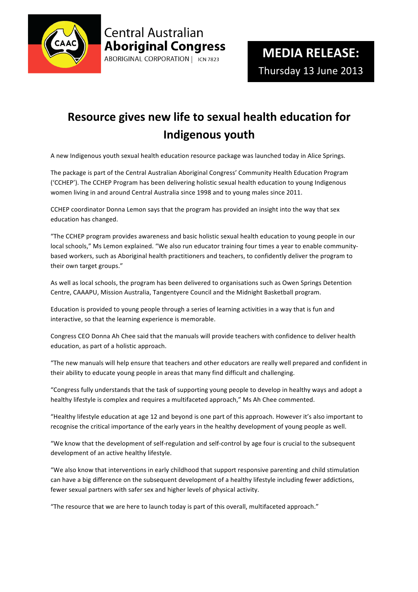

## **Central Australian Aboriginal Congress** ABORIGINAL CORPORATION | ICN 7823

## **Resource
gives
new
life
to
sexual
health
education
for Indigenous
youth**

A
new
Indigenous
youth
sexual
health
education
resource
package
was
launched
today
in
Alice
Springs.

The package is part of the Central Australian Aboriginal Congress' Community Health Education Program ('CCHEP').
The
CCHEP
Program
has
been
delivering
holistic
sexual
health
education
to
young
Indigenous women living in and around Central Australia since 1998 and to young males since 2011.

CCHEP coordinator Donna Lemon says that the program has provided an insight into the way that sex education
has
changed.

"The CCHEP program provides awareness and basic holistic sexual health education to young people in our local schools," Ms Lemon explained. "We also run educator training four times a year to enable communitybased
workers,
such
as
Aboriginal
health
practitioners
and
teachers,
to
confidently
deliver
the
program
to their
own
target
groups."

As well as local schools, the program has been delivered to organisations such as Owen Springs Detention Centre,
CAAAPU,
Mission
Australia,
Tangentyere
Council
and
the
Midnight
Basketball
program.

Education is provided to young people through a series of learning activities in a way that is fun and interactive,
so
that
the
learning
experience
is
memorable.

Congress CEO Donna Ah Chee said that the manuals will provide teachers with confidence to deliver health education,
as
part
of
a
holistic
approach.

"The new manuals will help ensure that teachers and other educators are really well prepared and confident in their
ability
to
educate
young
people
in
areas
that
many
find
difficult
and
challenging.

"Congress fully understands that the task of supporting young people to develop in healthy ways and adopt a healthy lifestyle is complex and requires a multifaceted approach," Ms Ah Chee commented.

"Healthy lifestyle education at age 12 and beyond is one part of this approach. However it's also important to recognise the critical importance of the early years in the healthy development of young people as well.

"We know that the development of self-regulation and self-control by age four is crucial to the subsequent development
of
an
active
healthy
lifestyle.

"We also know that interventions in early childhood that support responsive parenting and child stimulation can have a big difference on the subsequent development of a healthy lifestyle including fewer addictions, fewer
sexual
partners
with
safer
sex
and
higher
levels
of
physical
activity.

"The resource that we are here to launch today is part of this overall, multifaceted approach."